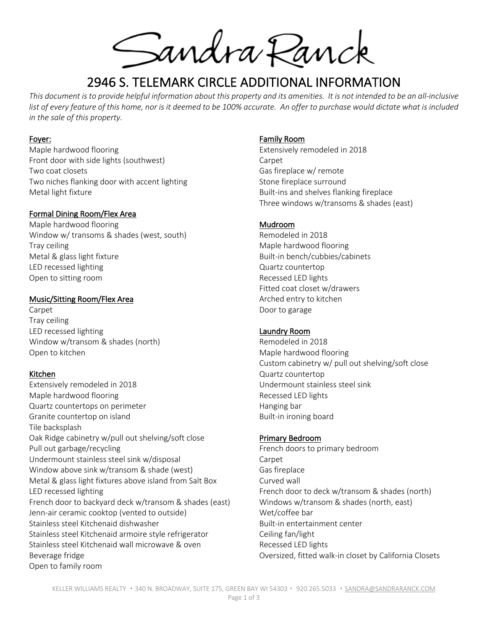Sandra Ranck

# 2946 S. TELEMARK CIRCLE ADDITIONAL INFORMATION

*This document is to provide helpful information about this property and its amenities. It is not intended to be an all-inclusive*  list of every feature of this home, nor is it deemed to be 100% accurate. An offer to purchase would dictate what is included *in the sale of this property.*

#### Foyer:

Maple hardwood flooring Front door with side lights (southwest) Two coat closets Two niches flanking door with accent lighting Metal light fixture

## Formal Dining Room/Flex Area

Maple hardwood flooring Window w/ transoms & shades (west, south) Tray ceiling Metal & glass light fixture LED recessed lighting Open to sitting room

#### Music/Sitting Room/Flex Area

Carpet Tray ceiling LED recessed lighting Window w/transom & shades (north) Open to kitchen

## Kitchen

Extensively remodeled in 2018 Maple hardwood flooring Quartz countertops on perimeter Granite countertop on island Tile backsplash Oak Ridge cabinetry w/pull out shelving/soft close Pull out garbage/recycling Undermount stainless steel sink w/disposal Window above sink w/transom & shade (west) Metal & glass light fixtures above island from Salt Box LED recessed lighting French door to backyard deck w/transom & shades (east) Jenn-air ceramic cooktop (vented to outside) Stainless steel Kitchenaid dishwasher Stainless steel Kitchenaid armoire style refrigerator Stainless steel Kitchenaid wall microwave & oven Beverage fridge Open to family room

#### Family Room

Extensively remodeled in 2018 Carpet Gas fireplace w/ remote Stone fireplace surround Built-ins and shelves flanking fireplace Three windows w/transoms & shades (east)

## Mudroom

Remodeled in 2018 Maple hardwood flooring Built-in bench/cubbies/cabinets Quartz countertop Recessed LED lights Fitted coat closet w/drawers Arched entry to kitchen Door to garage

## Laundry Room

Remodeled in 2018 Maple hardwood flooring Custom cabinetry w/ pull out shelving/soft close Quartz countertop Undermount stainless steel sink Recessed LED lights Hanging bar Built-in ironing board

## Primary Bedroom

French doors to primary bedroom Carpet Gas fireplace Curved wall French door to deck w/transom & shades (north) Windows w/transom & shades (north, east) Wet/coffee bar Built-in entertainment center Ceiling fan/light Recessed LED lights Oversized, fitted walk-in closet by California Closets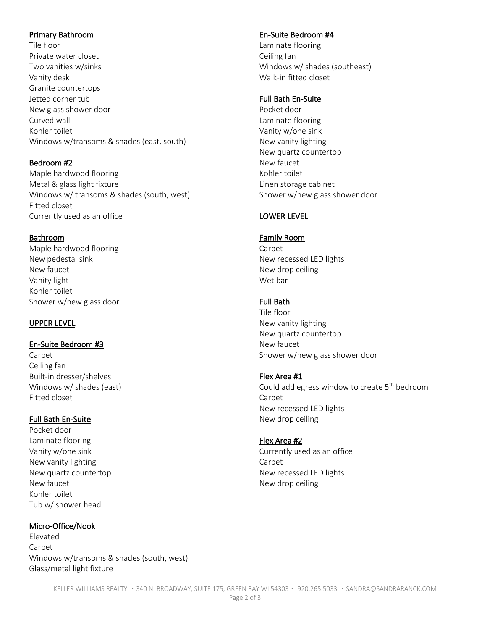#### Primary Bathroom

Tile floor Private water closet Two vanities w/sinks Vanity desk Granite countertops Jetted corner tub New glass shower door Curved wall Kohler toilet Windows w/transoms & shades (east, south)

## Bedroom #2

Maple hardwood flooring Metal & glass light fixture Windows w/ transoms & shades (south, west) Fitted closet Currently used as an office

## Bathroom

Maple hardwood flooring New pedestal sink New faucet Vanity light Kohler toilet Shower w/new glass door

# UPPER LEVEL

## En-Suite Bedroom #3

Carpet Ceiling fan Built-in dresser/shelves Windows w/ shades (east) Fitted closet

## Full Bath En-Suite

Pocket door Laminate flooring Vanity w/one sink New vanity lighting New quartz countertop New faucet Kohler toilet Tub w/ shower head

## Micro-Office/Nook

Elevated Carpet Windows w/transoms & shades (south, west) Glass/metal light fixture

# En-Suite Bedroom #4

Laminate flooring Ceiling fan Windows w/ shades (southeast) Walk-in fitted closet

#### Full Bath En-Suite

Pocket door Laminate flooring Vanity w/one sink New vanity lighting New quartz countertop New faucet Kohler toilet Linen storage cabinet Shower w/new glass shower door

# LOWER LEVEL

#### Family Room

Carpet New recessed LED lights New drop ceiling Wet bar

# Full Bath

Tile floor New vanity lighting New quartz countertop New faucet Shower w/new glass shower door

## Flex Area #1

Could add egress window to create 5<sup>th</sup> bedroom Carpet New recessed LED lights New drop ceiling

#### Flex Area #2

Currently used as an office Carpet New recessed LED lights New drop ceiling